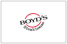